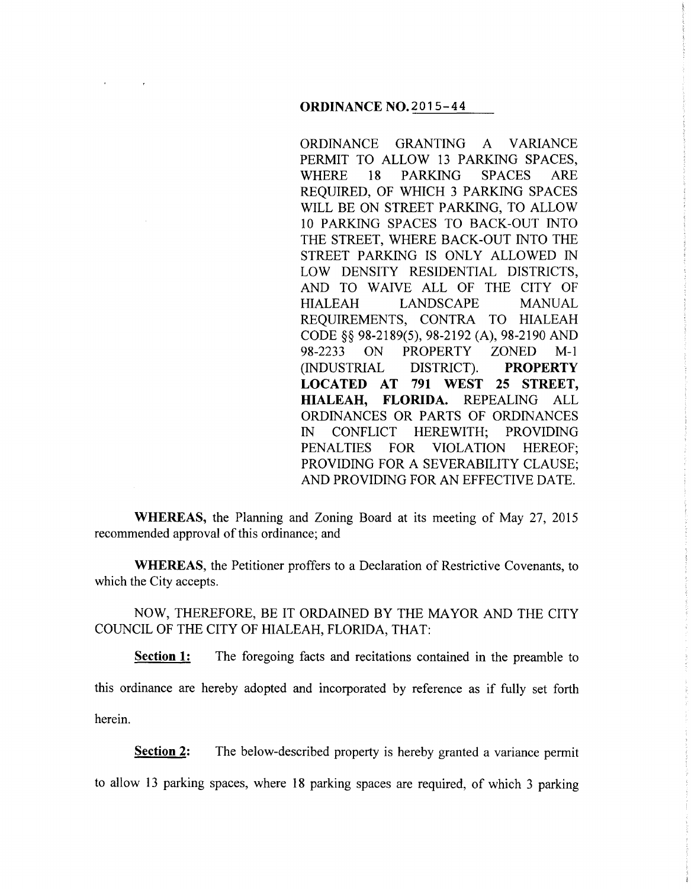#### **ORDINANCE** N0.2015-44

ORDINANCE GRANTING A VARIANCE PERMIT TO ALLOW 13 PARKING SPACES, WHERE 18 PARKING SPACES ARE REQUIRED, OF WHICH 3 PARKING SPACES WILL BE ON STREET PARKING, TO ALLOW 10 PARKING SPACES TO BACK-OUT INTO THE STREET, WHERE BACK-OUT INTO THE STREET PARKING IS ONLY ALLOWED IN LOW DENSITY RESIDENTIAL DISTRICTS, AND TO WAIVE ALL OF THE CITY OF HIALEAH LANDSCAPE MANUAL REQUIREMENTS, CONTRA TO HIALEAH CODE§§ 98-2189(5), 98-2192 (A), 98-2190 AND 98-2233 ON PROPERTY ZONED M-1 (INDUSTRIAL DISTRICT). **PROPERTY LOCATED AT 791 WEST 25 STREET, HIALEAH, FLORIDA.** REPEALING ALL ORDINANCES OR PARTS OF ORDINANCES IN CONFLICT HEREWITH; PROVIDING PENALTIES FOR VIOLATION HEREOF; PROVIDING FOR A SEVERABILITY CLAUSE; AND PROVIDING FOR AN EFFECTIVE DATE.

**WHEREAS,** the Planning and Zoning Board at its meeting of May 27, 2015 recommended approval of this ordinance; and

**WHEREAS,** the Petitioner proffers to a Declaration of Restrictive Covenants, to which the City accepts.

NOW, THEREFORE, BE IT ORDAINED BY THE MAYOR AND THE CITY COUNCIL OF THE CITY OF HIALEAH, FLORIDA, THAT:

**Section 1:** The foregoing facts and recitations contained in the preamble to this ordinance are hereby adopted and incorporated by reference as if fully set forth herein.

**Section 2:** The below-described property is hereby granted a variance permit

to allow 13 parking spaces, where 18 parking spaces are required, of which 3 parking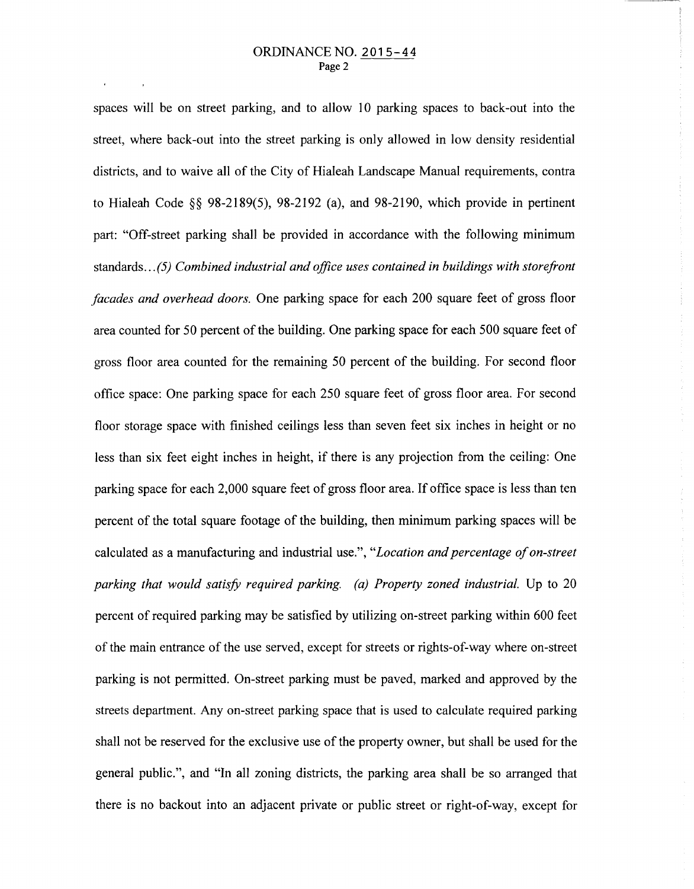spaces will be on street parking, and to allow 10 parking spaces to back-out into the street, where back-out into the street parking is only allowed in low density residential districts, and to waive all of the City of Hialeah Landscape Manual requirements, contra to Hialeah Code§§ 98-2189(5), 98-2192 (a), and 98-2190, which provide in pertinent part: "Off-street parking shall be provided in accordance with the following minimum standards ... *(5) Combined industrial and office uses contained in buildings with storefront facades and overhead doors.* One parking space for each 200 square feet of gross floor area counted for 50 percent of the building. One parking space for each 500 square feet of gross floor area counted for the remaining 50 percent of the building. For second floor office space: One parking space for each 250 square feet of gross floor area. For second floor storage space with finished ceilings less than seven feet six inches in height or no less than six feet eight inches in height, if there is any projection from the ceiling: One parking space for each 2,000 square feet of gross floor area. If office space is less than ten percent of the total square footage of the building, then minimum parking spaces will be calculated as a manufacturing and industrial use.", *"Location and percentage of on-street parking that would satisfy required parking. (a) Property zoned industrial.* Up to 20 percent of required parking may be satisfied by utilizing on-street parking within 600 feet of the main entrance of the use served, except for streets or rights-of-way where on-street parking is not permitted. On-street parking must be paved, marked and approved by the streets department. Any on-street parking space that is used to calculate required parking shall not be reserved for the exclusive use of the property owner, but shall be used for the general public.", and "In all zoning districts, the parking area shall be so arranged that there is no backout into an adjacent private or public street or right-of-way, except for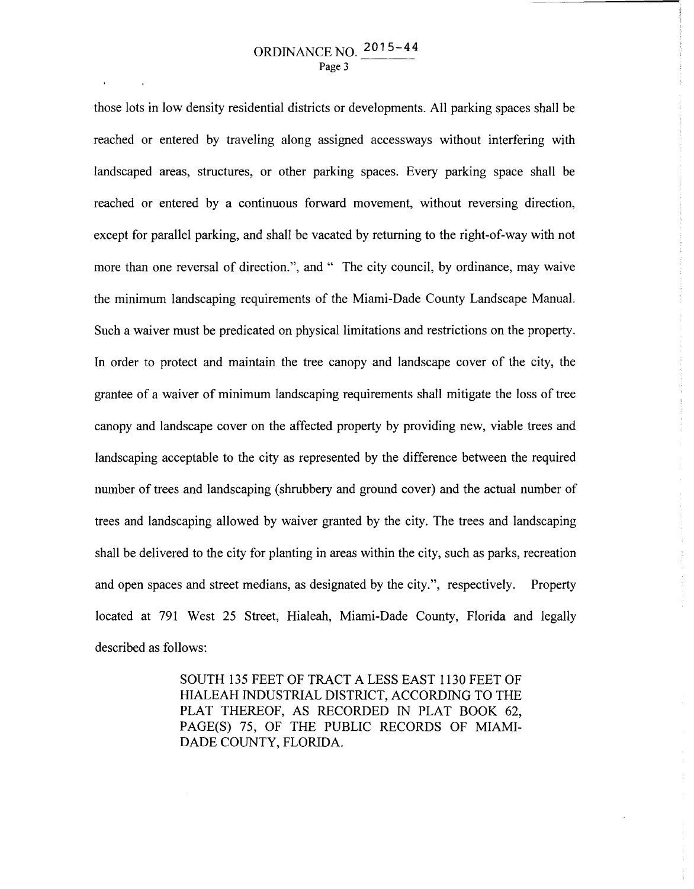those lots in low density residential districts or developments. All parking spaces shall be reached or entered by traveling along assigned accessways without interfering with landscaped areas, structures, or other parking spaces. Every parking space shall be reached or entered by a continuous forward movement, without reversing direction, except for parallel parking, and shall be vacated by returning to the right-of-way with not more than one reversal of direction.", and " The city council, by ordinance, may waive the minimum landscaping requirements of the Miami-Dade County Landscape Manual. Such a waiver must be predicated on physical limitations and restrictions on the property. In order to protect and maintain the tree canopy and landscape cover of the city, the grantee of a waiver of minimum landscaping requirements shall mitigate the loss of tree canopy and landscape cover on the affected property by providing new, viable trees and landscaping acceptable to the city as represented by the difference between the required number of trees and landscaping (shrubbery and ground cover) and the actual number of trees and landscaping allowed by waiver granted by the city. The trees and landscaping shall be delivered to the city for planting in areas within the city, such as parks, recreation and open spaces and street medians, as designated by the city.", respectively. Property located at 791 West 25 Street, Hialeah, Miami-Dade County, Florida and legally described as follows:

> SOUTH 135 FEET OF TRACT A LESS EAST 1130 FEET OF HIALEAH INDUSTRIAL DISTRICT, ACCORDING TO THE PLAT THEREOF, AS RECORDED IN PLAT BOOK 62, PAGE(S) 75, OF THE PUBLIC RECORDS OF MIAMI-DADE COUNTY, FLORIDA.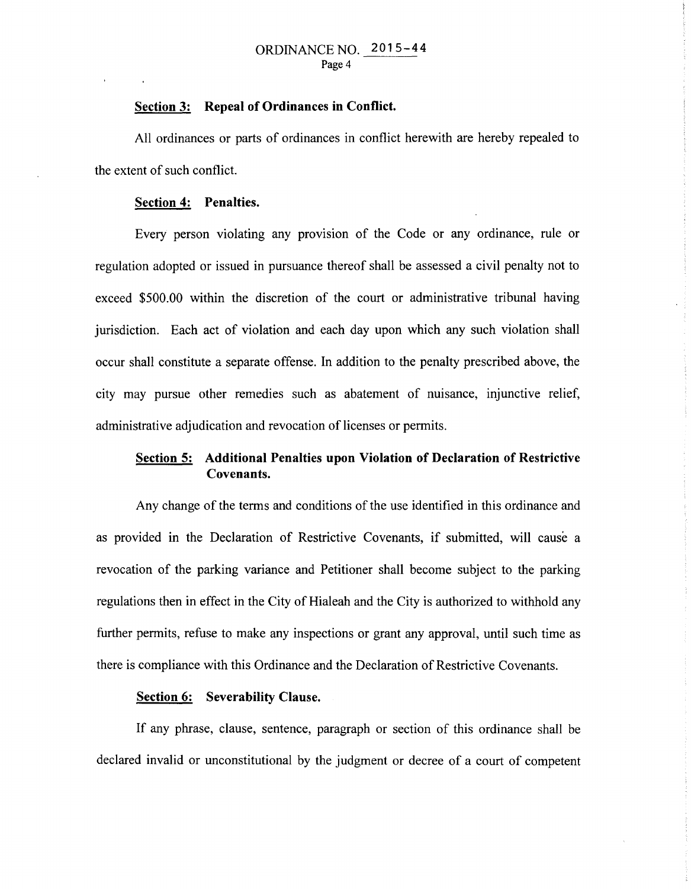### **Section 3: Repeal of Ordinances in Conflict.**

All ordinances or parts of ordinances in conflict herewith are hereby repealed to the extent of such conflict.

## **Section 4: Penalties.**

Every person violating any provision of the Code or any ordinance, rule or regulation adopted or issued in pursuance thereof shall be assessed a civil penalty not to exceed \$500.00 within the discretion of the court or administrative tribunal having jurisdiction. Each act of violation and each day upon which any such violation shall occur shall constitute a separate offense. In addition to the penalty prescribed above, the city may pursue other remedies such as abatement of nuisance, injunctive relief, administrative adjudication and revocation of licenses or permits.

# **Section 5: Additional Penalties upon Violation of Declaration of Restrictive Covenants.**

Any change of the terms and conditions of the use identified in this ordinance and as provided in the Declaration of Restrictive Covenants, if submitted, will cause a revocation of the parking variance and Petitioner shall become subject to the parking regulations then in effect in the City of Hialeah and the City is authorized to withhold any further permits, refuse to make any inspections or grant any approval, until such time as there is compliance with this Ordinance and the Declaration of Restrictive Covenants.

## **Section 6: Severability Clause.**

If any phrase, clause, sentence, paragraph or section of this ordinance shall be declared invalid or unconstitutional by the judgment or decree of a court of competent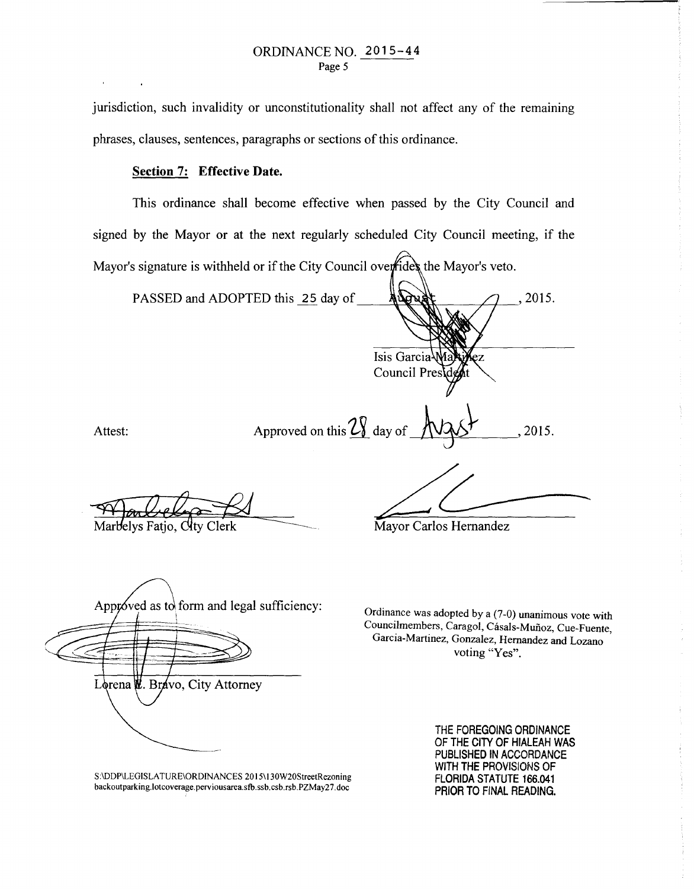jurisdiction, such invalidity or unconstitutionality shall not affect any of the remaining phrases, clauses, sentences, paragraphs or sections of this ordinance.

## Section 7: Effective Date.

This ordinance shall become effective when passed by the City Council and signed by the Mayor or at the next regularly scheduled City Council meeting, if the Mayor's signature is withheld or if the City Council overfides the Mayor's veto.

PASSED and ADOPTED this 25 day of 2015. Isis Garcia **Council Pres** Attest: Approved on this  $2\sqrt{2}$  day of  $\sqrt{2\sqrt{2}}$ , 2015.

Marbelys Fatio, City Clerk

Mayor Carlos Hernandez

Approved as to form and legal sufficiency: -~'- Lorena W. Bravo, City Attorney

Ordinance was adopted by a (7-0) unanimous vote with Councilmembers, Caragol, Cásals-Muñoz, Cue-Fuente, Garcia-Martinez, Gonzalez, Hernandez and Lozano voting "Yes".

S:\DDP\LEGISLA TURE\ORDINANCES 2015\ 130W20StreetRezoning backoutparking.Iotcoverage.perviousarea.sfb.ssb.csb.rsb.PZMay27.doc

THE FOREGOING ORDINANCE OF THE CITY OF HIALEAH WAS PUBLISHED IN ACCORDANCE WITH THE PROVISIONS OF FLORIDA STATUTE 166.041 PRIOR TO FINAL READING.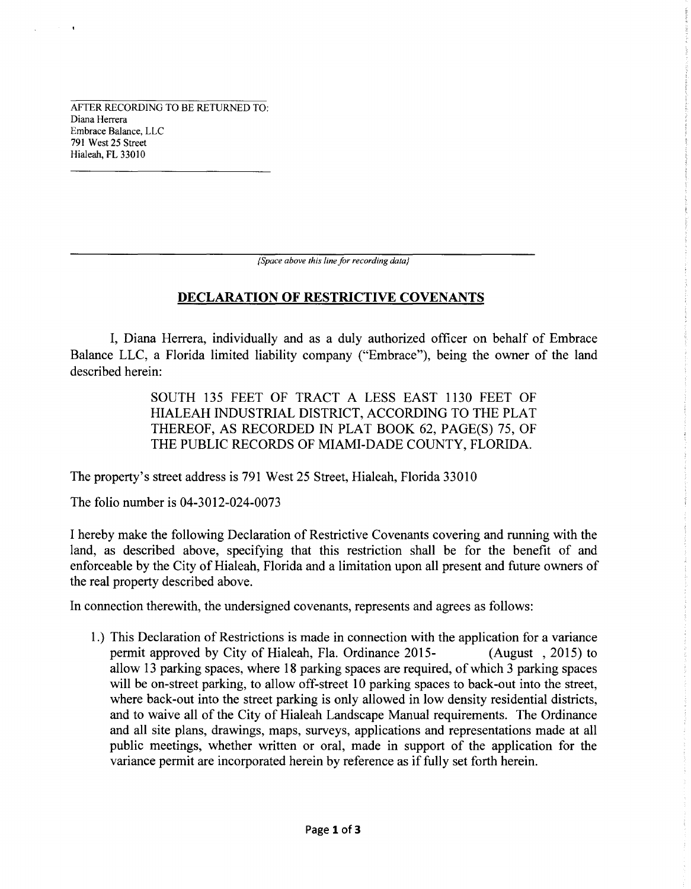AFTER RECORDING TO BE RETURNED TO: Diana Herrera Embrace Balance, LLC 791 West 25 Street Hialeah, FL 33010

*{Space above this line for recording data}* 

# **DECLARATION OF RESTRICTIVE COVENANTS**

I, Diana Herrera, individually and as a duly authorized officer on behalf of Embrace Balance LLC, a Florida limited liability company ("Embrace"), being the owner of the land described herein:

> SOUTH 135 FEET OF TRACT A LESS EAST 1130 FEET OF HIALEAH INDUSTRIAL DISTRICT, ACCORDING TO THE PLAT THEREOF, AS RECORDED IN PLAT BOOK 62, PAGE(S) 75, OF THE PUBLIC RECORDS OF MIAMI-DADE COUNTY, FLORIDA.

The property's street address is 791 West 25 Street, Hialeah, Florida 33010

The folio number is 04-3012-024-0073

I hereby make the following Declaration of Restrictive Covenants covering and running with the land, as described above, specifying that this restriction shall be for the benefit of and enforceable by the City of Hialeah, Florida and a limitation upon all present and future owners of the real property described above.

In connection therewith, the undersigned covenants, represents and agrees as follows:

1.) This Declaration of Restrictions is made in connection with the application for a variance permit approved by City of Hialeah, Fla. Ordinance 2015- (August , 2015) to allow 13 parking spaces, where 18 parking spaces are required, of which 3 parking spaces will be on-street parking, to allow off-street 10 parking spaces to back-out into the street, where back-out into the street parking is only allowed in low density residential districts, and to waive all of the City of Hialeah Landscape Manual requirements. The Ordinance and all site plans, drawings, maps, surveys, applications and representations made at all public meetings, whether written or oral, made in support of the application for the variance permit are incorporated herein by reference as if fully set forth herein.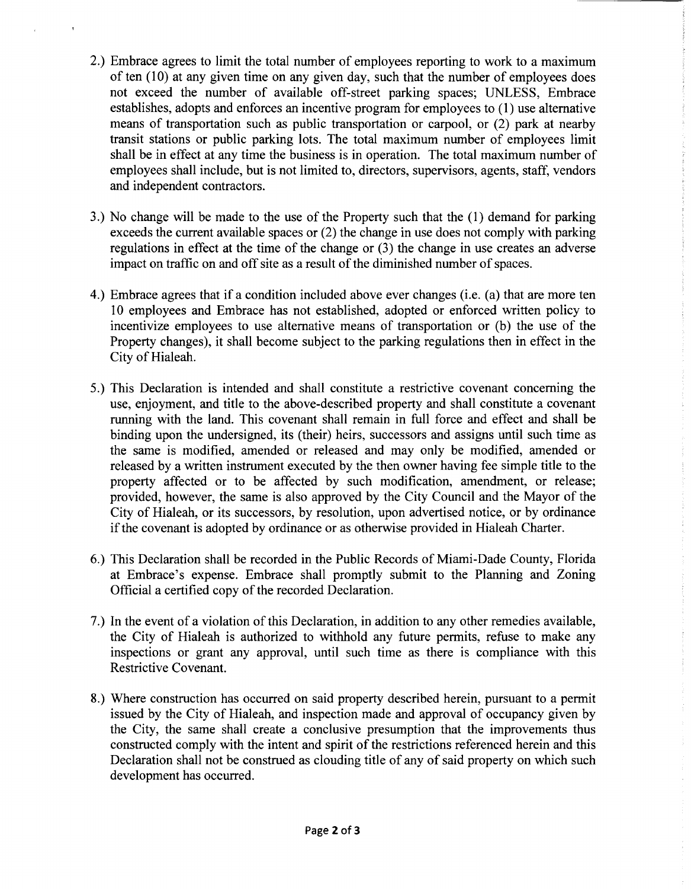- 2.) Embrace agrees to limit the total number of employees reporting to work to a maximum of ten  $(10)$  at any given time on any given day, such that the number of employees does not exceed the number of available off-street parking spaces; UNLESS, Embrace establishes, adopts and enforces an incentive program for employees to (1) use alternative means of transportation such as public transportation or carpool, or (2) park at nearby transit stations or public parking lots. The total maximum number of employees limit shall be in effect at any time the business is in operation. The total maximum number of employees shall include, but is not limited to, directors, supervisors, agents, staff, vendors and independent contractors.
- 3.) No change will be made to the use of the Property such that the (1) demand for parking exceeds the current available spaces or (2) the change in use does not comply with parking regulations in effect at the time of the change or (3) the change in use creates an adverse impact on traffic on and off site as a result of the diminished number of spaces.
- 4.) Embrace agrees that if a condition included above ever changes (i.e. (a) that are more ten 10 employees and Embrace has not established, adopted or enforced written policy to incentivize employees to use alternative means of transportation or (b) the use of the Property changes), it shall become subject to the parking regulations then in effect in the City of Hialeah.
- 5.) This Declaration is intended and shall constitute a restrictive covenant concerning the use, enjoyment, and title to the above-described property and shall constitute a covenant running with the land. This covenant shall remain in full force and effect and shall be binding upon the undersigned, its (their) heirs, successors and assigns until such time as the same is modified, amended or released and may only be modified, amended or released by a written instrument executed by the then owner having fee simple title to the property affected or to be affected by such modification, amendment, or release; provided, however, the same is also approved by the City Council and the Mayor of the City of Hialeah, or its successors, by resolution, upon advertised notice, or by ordinance if the covenant is adopted by ordinance or as otherwise provided in Hialeah Charter.
- 6.) This Declaration shall be recorded in the Public Records of Miami-Dade County, Florida at Embrace's expense. Embrace shall promptly submit to the Planning and Zoning Official a certified copy of the recorded Declaration.
- 7.) In the event of a violation of this Declaration, in addition to any other remedies available, the City of Hialeah is authorized to withhold any future permits, refuse to make any inspections or grant any approval, until such time as there is compliance with this Restrictive Covenant.
- 8.) Where construction has occurred on said property described herein, pursuant to a permit issued by the City of Hialeah, and inspection made and approval of occupancy given by the City, the same shall create a conclusive presumption that the improvements thus constructed comply with the intent and spirit of the restrictions referenced herein and this Declaration shall not be construed as clouding title of any of said property on which such development has occurred.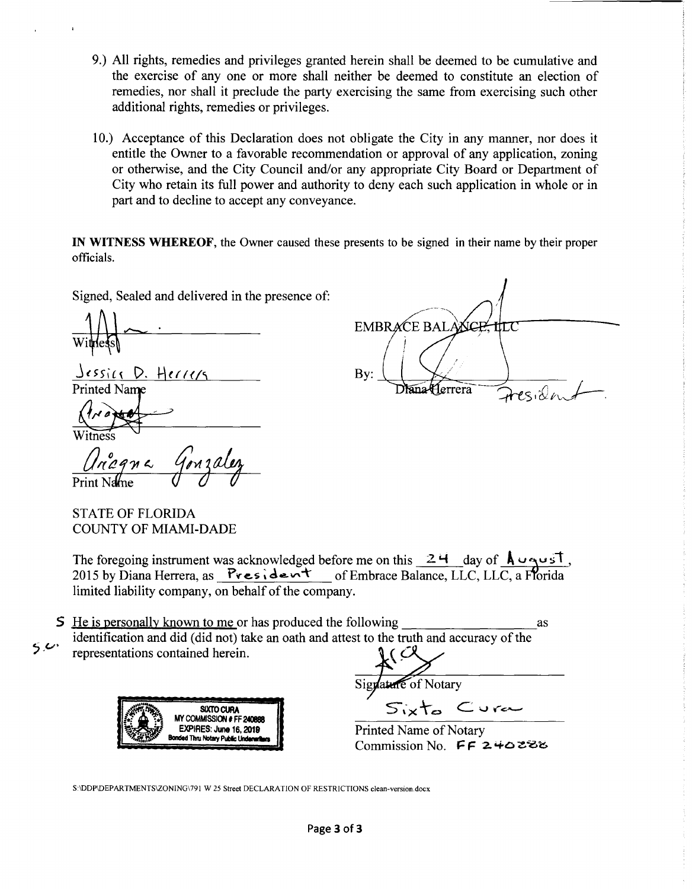- 9.) All rights, remedies and privileges granted herein shall be deemed to be cumulative and the exercise of any one or more shall neither be deemed to constitute an election of remedies, nor shall it preclude the party exercising the same from exercising such other additional rights, remedies or privileges.
- 10.) Acceptance of this Declaration does not obligate the City in any manner, nor does it entitle the Owner to a favorable recommendation or approval of any application, zoning or otherwise, and the City Council and/or any appropriate City Board or Department of City who retain its full power and authority to deny each such application in whole or in part and to decline to accept any conveyance.

IN WITNESS WHEREOF, the Owner caused these presents to be signed in their name by their proper officials.

Signed, Sealed and delivered in the presence of:

 $w_1 \neq w_2$ 

<sup>j</sup>( ~ 5 it~ t>. H *( r r* < *1"'* Pri:,;r

 $\bigwedge$ Witness Ancana

 $\overbrace{\phantom{137281}}^{\qquad \qquad \qquad \qquad \qquad \qquad \qquad \qquad$  $EMBRACE$   $BALA$  $\bigg/$ *!*  Bv:

STATE OF FLORIDA COUNTY OF MIAMI-DADE

The foregoing instrument was acknowledged before me on this  $\frac{24}{\text{ day of } \text{A} \cup \text{y of}}$ <br>2015 by Diana Herrera, as  $\frac{8}{\text{b} \cdot \text{y of}}$  of Embrace Balance, LLC, LLC, a Florida limited liability company, on behalf of the company.

S He is personally known to me or has produced the following as as identification and did (did not) take an oath and attest to the truth and accuracy of the  $5.6$ representations contained herein.





Sigyature of Notary  $\langle\cdot,\cdot\rangle$  $S_{i\times}$ ta Cura

Printed Name of Notary  $Commission$  No. FF 240288

S:\DDP\DEPARTMENTSIZONING\791 W 25 Street DECLARATION OF RESTRICTIONS clean-version.docx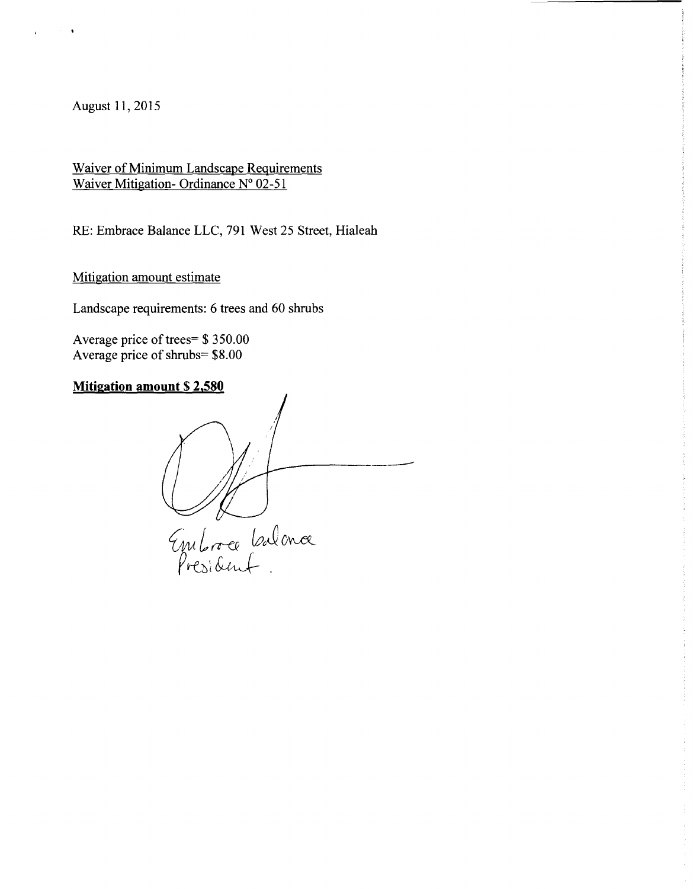August 11, 2015

Waiver of Minimum Landscape Requirements Waiver Mitigation- Ordinance N° 02-51

RE: Embrace Balance LLC, 791 West 25 Street, Hialeah

Mitigation amount estimate

Landscape requirements: 6 trees and 60 shrubs

Average price of trees= \$ 350.00 Average price of shrubs= \$8.00

# **Mitigation amount \$ 2,580**

------------------Enbreutence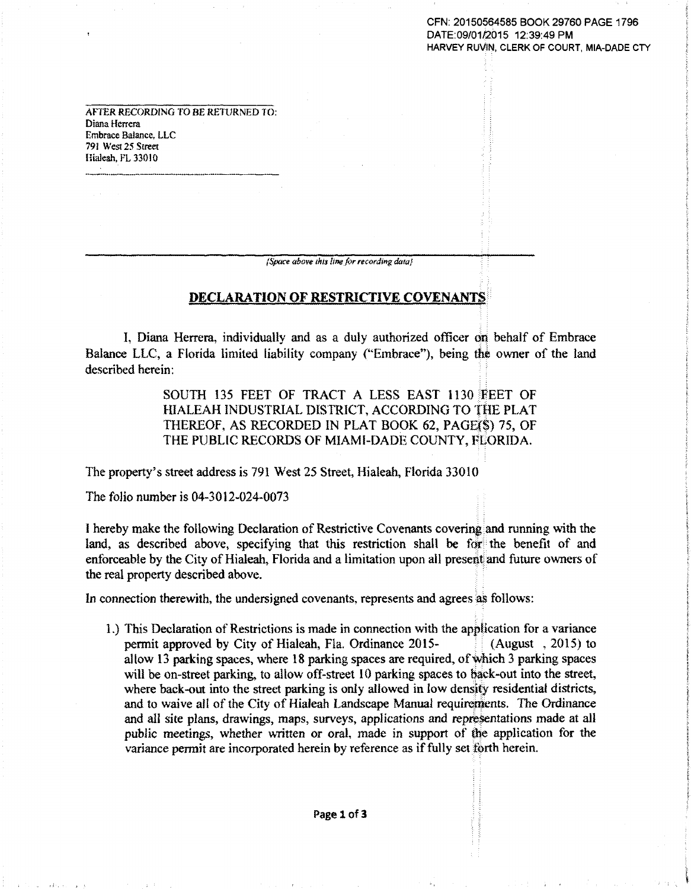CFN: 20150564585 BOOK 29760 PAGE 1796 DATE:09/01/2015 12:39:49 PM HARVEY RUVIN, CLERK OF COURT, MIA-DADE CTY

AFTER RECORDING TO BE RETIJRNED TO: Diana Herrera Embrace Balance, LLC 791 West *25* Street Hialeah, FL 33010

*{Space above this line for recording data}* 

## **DECLARATION OF RESTRICTIVE COVENANTS**

I, Diana Herrera, individually and as a duly authorized officer on behalf of Embrace Balance LLC, a Florida limited liability company ("Embrace"), being the owner of the land described herein:

> SOUTH 135 FEET OF TRACT A LESS EAST 1130 FEET OF HIALEAH INDUSTRIAL DISTRICT, ACCORDING TO THE PLAT THEREOF, AS RECORDED IN PLAT BOOK 62, PAGE(\$) 75, OF THE PUBLIC RECORDS OF MIAMI-DADE COUNTY, FLORIDA.

The property's street address is 791 West 25 Street, Hialeah, Florida 33010

The folio number is 04-3012-024-0073

I hereby make the following Declaration of Restrictive Covenants covering and running with the land, as described above, specifying that this restriction shall be for the benefit of and enforceable by the City of Hialeah, Florida and a limitation upon all present and future owners of the real property described above.

In connection therewith, the undersigned covenants, represents and agrees as follows:

1.) This Declaration of Restrictions is made in connection with the application for a variance permit approved by City of Hialeah, Fla. Ordinance 2015- **• • (August** , 2015) to allow 13 parking spaces, where 18 parking spaces are required, of\vhich 3 parking spaces will be on-street parking, to allow off-street 10 parking spaces to back-out into the street, where back-out into the street parking is only allowed in low density residential districts, and to waive all of the City of Hialeah Landscape Manual requirements. The Ordinance and all site plans, drawings, maps, surveys, applications and representations made at all public meetings, whether written or oral, made in support of the application for the variance permit are incorporated herein by reference as if fully set forth herein.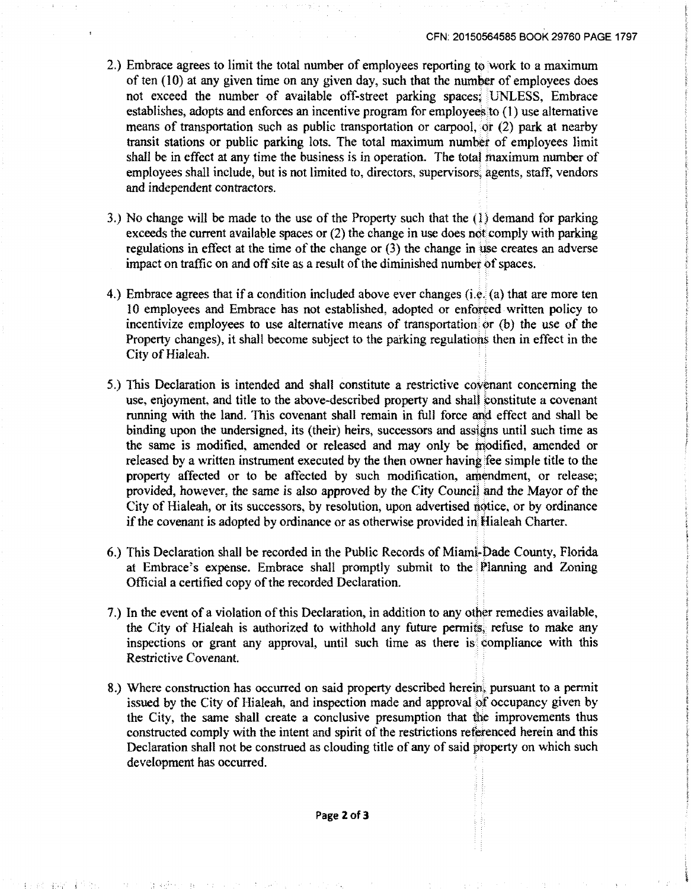- 2.) Embrace agrees to limit the total number of employees reporting to work to a maximum of ten  $(10)$  at any given time on any given day, such that the number of employees does not exceed the number of available otT-street parking spaces; 'UNLESS, Embrace establishes, adopts and enforces an incentive program for employees to (l) use alternative means of transportation such as public transportation or carpool, or  $(2)$  park at nearby transit stations or public parking lots. The total maximum number of employees limit shall be in effect at any time the business is in operation. The total maximum number of employees shall include, but is not limited to, directors. supervisors; agents, staff, vendors and independent contractors.
- 3.) No change will be made to the use of the Property such that the (1) demand for parking exceeds the current available spaces or (2) the change in use does not comply with parking regulations in effect at the time of the change or  $(3)$  the change in use creates an adverse impact on traffic on and off site as a result of the diminished number of spaces.
- 4.) Embrace agrees that if a condition included above ever changes (i.e.  $(a)$ ) that are more ten 10 employees and Embrace has not established, adopted or enforced written policy to incentivize employees to use alternative means of transportation *or* {b) the *use* of *the*  Property changes), it shall become subject to the parking regulations then in effect in the City of Hialeah.
- 5.) This Declaration is intended and shall constitute a restrictive covenant concerning the use, enjoyment, and title to the above-described property and shall constitute a covenant running with the land. 'Ibis covenant shall remain in full force and effect and shall be binding upon the undersigned, its (their) heirs, successors and assigns until such time as the same is modified, amended or released and may only be modified, amended or released by a written instrument executed by the then owner having 'fee simple title to the property affected or to be affected by such modification, amendment, or release; provided, however, the same is also approved by the City Council and the Mayor of the City of Hialeah, or its successors, by resolution, upon advertised notice, or by ordinance if the covenant is adopted by ordinance or as othernise provided in Hialeah Charter.
- 6.) This Declaration shall be recorded in the Public Records of Miami-Dade County, Florida at Embrace's expense. Embrace shall promptly submit to the Planning and Zoning Official a certified copy of the recorded Declaration.
- 7.) In the event of a violation of this Declaration, in addition to any other remedies available, the City of Hialeah is authorized to withhold any future permits, retuse to make any inspections or grant any approval, until such time as there is compliance with this Restrictive Covenant.
- 8.) Where construction has occurred on said property described herein, pursuant to a pennit issued by the City of Hialeah, and inspection made and approval of occupancy given by the City, the same shall create a conclusive presumption that the improvements thus constructed comply with the intent and spirit of the restrictions retbrenced herein and this Declaration shall not be construed as clouding title of any of said property on which such development has occurred.

Page **2of3** 

~ ·< :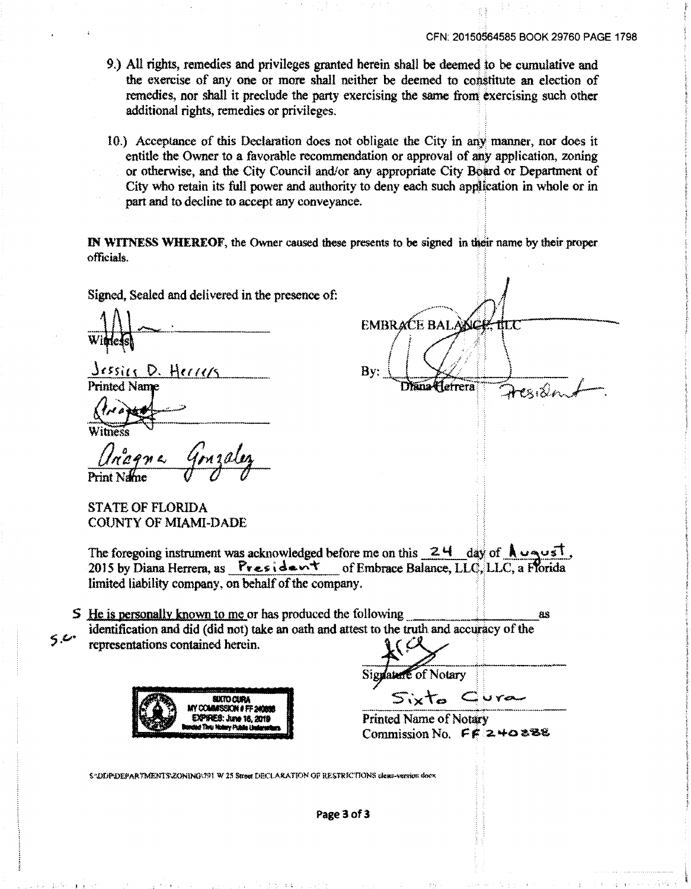ार

- 9.) All rights, remedies and privileges granted herein shall be deemed to be cumulative and the exercise of any one or more shall neither be deemed to constitute an election of remedies, nor shall it preclude the party exercising the same from exercising such other additional rights, remedies or privileges.
- 10.) Acceptance of this Declaration does not obligate the City in any manner, nor does it entitle the Owner to a favorable recommendation or approval of any application, zoning or otherwise, and the City Council and/or any appropriate City Board or Department of City who retain its full power and authority to deny each such application in whole or in part and to decline to accept any conveyance.

IN WITNESS WHEREOF, the Owner caused these presents to be signed in their name by their proper officials. The contract of the contract of the contract of the contract of the contract of the contract of the contract of the contract of the contract of the contract of the contract of the contract of the contract of the

EMBRACE BAI

Diana Herrera

By:

Signed, Sealed and delivered in the presence of:

Jessier D. Herrers **Printed Name** 

STATE OF FLORIDA COUNTY OF MIAMI-DADE

The foregoing instrument was acknowledged before me on this  $\frac{24}{\text{ days}}$  of  $\frac{1}{2}$   $\frac{1}{2015}$  by Diana Herrera, as President of Embrace Balance, LLC, LLC, a Florida limited liability company, on behalf of the company.

 $\mathsf{S}$  He is personally known to me or has produced the following ... ... ... ... ... ... as identification and did (did not) take an oath and attest to the truth and accuracy of the  $5.6$  representations contained herein.



Signature of Notary

Printed Name of Notary<br>Commission No.  $\mathbf{F} \mathbf{F}^{\dagger} \mathbf{z} + \mathbf{0}$  & & &

SOLIPIDEPARTMENTS\ZONING\791 W 25 Street DECLARATION OF RESTRICTIONS clean-version doex

Page 3 of 3

p) and the contract of the contract of the second contract of the contract of the contract of the contract of the contract of the contract of the contract of the contract of the contract of the contract of the contract of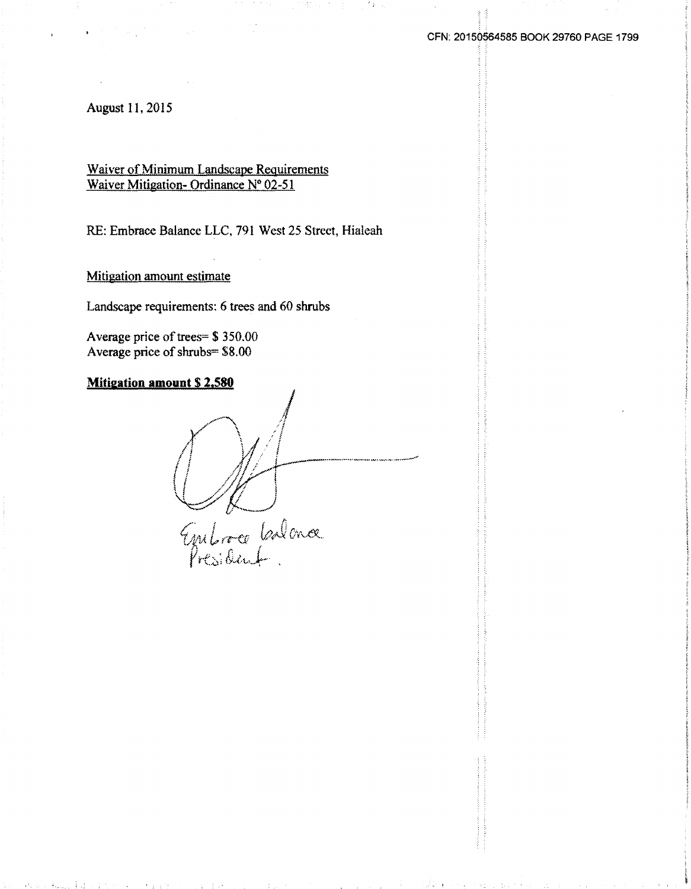August 11, 2015

Waiver of Minimum Landscape Requirements Waiver Mitigation- Ordinance N° 02-51

RE: Embrace Balance LLC, 791 West 25 Street, Hialeah

75. ST

ೆ ಕಂಡ

Mitigation amount estimate

Landscape requirements: 6 trees and 60 shrubs

Average price of trees= \$ 350.00 Average price of shrubs= \$8.00

**Mitigation amount \$ 2.580**  Entre Colona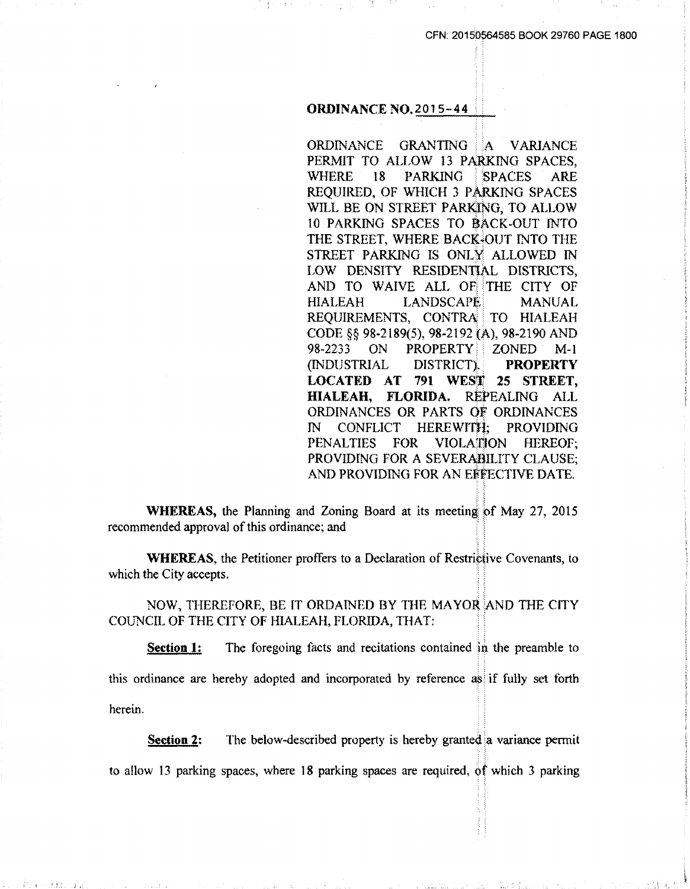#### **ORDINANCE NO. 2015-44**

ORDINANCE GRANTING A VARIANCE PERMIT TO ALLOW 13 PARKING SPACES, WHERE 18 PARKING SPACES ARE REQUIRED, OF WHICH 3 PARKING SPACES WILL BE ON STREET PARKJNG, TO ALLOW 10 PARKING SPACES TO BACK-OUT INTO THE STREET. WHERE BACK<sup>3</sup>OUT INTO THE STREET PARKING IS ONLY ALLOWED IN LOW DENSITY RESIDENTIAL DISTRICTS, AND TO WAIVE ALL OF THE CITY OF HIALEAH LANDSCAPE MANUAL REQUIREMENTS, CONTRA TO HIALEAH CODE §§ 98-2189(5), 98-2192 (A), 98-2190 AND 98-2233 ON PROPERTY ZONED M-1 (INDUSTRIAL DISTRICT)... PROPERTY LOCATED AT 791 WEST 25 STREET, HIALEAH, FLORIDA. REPEALING ALL ORDINANCES OR PARTS Of ORDINANCES IN CONFLICT HEREWITfi; PROV1DING PENALTIES FOR VIOLATION HEREOF; PROVIDING FOR A SEVERABILITY CLAUSE; AND PROVIDING FOR AN EFFECTIVE DATE.

:. ;:

: ·:

 $.9.1.5 - 1$ 

WHEREAS, the Planning and Zoning Board at its meeting of May 27, 2015 recommended approval of this ordinance; and . .

WHEREAS, the Petitioner proffers to a Declaration of Restrictive Covenants, to which the City accepts.

NOW, THEREFORE, BE IT ORDAINED BY THE MAYOR AND THE CITY COUNCIL OF THE CITY OF HIALEAH, FLORIDA, THAT:

**Section 1:** The foregoing facts and recitations contained in the preamble to this ordinance are hereby adopted and incorporated by reference as: if fully set forth herein.

Section 2: The below-described property is hereby granted a variance permit to allow 13 parking spaces, where 18 parking spaces are required, of which 3 parking

·" *l'*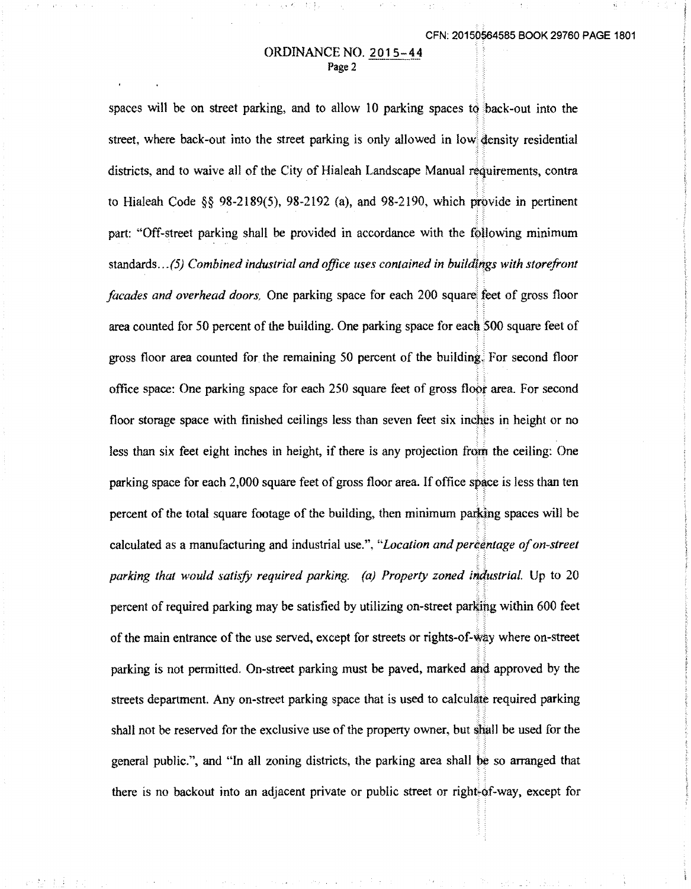#### ORDINANCE NO. 2015-44 Page 2

spaces will be on street parking, and to allow 10 parking spaces to back-out into the street, where back-out into the street parking is only allowed in low density residential districts, and to waive all of the City of Hialeah Landscape Manual réquirements, contra to Hialeah Code  $\&$  98-2189(5), 98-2192 (a), and 98-2190, which provide in pertinent part: "Off-street parking shall be provided in accordance with the following minimum standards...(5) Combined industrial and office uses contained in buildings with storefront *facades and overhead doors.* One parking space for each 200 square, feet of gross floor area counted for 50 percent of the building. One parking space for each  $\overline{500}$  square feet of gross floor area counted for the remaining 50 percent of the building. For second floor office space: One parking space for each 250 square feet of gross floor area. For second floor storage space with finished ceilings less than seven feet six inches in height or no less than six feet eight inches in height, if there is any projection from the ceiling: One parking space for each  $2,000$  square feet of gross floor area. If office space is less than ten percent of the total square footage of the building, then minimum parking spaces will be *:·* :: calculated as a manufacturing and industrial use.", "Location and percentage of on-street *parking that would satisfy required parking. (a) Property zoned industrial.* Up to 20 .· :· ·. :: percent of required parking may be satisfied by utilizing on-street parking within 600 feet of the main entrance of the use served, except for streets or rights-of-w~y where on-street .· ·: parking is not permitted. On-street parking must be paved, marked and approved by the streets department. Any on-street parking space that is used to calculate required parking shall not be reserved for the exclusive use of the property owner, but shall be used for the general public.", and "In all zoning districts, the parking area shall b¢ so arranged that there is no backout into an adjacent private or public street or right-of-way, except for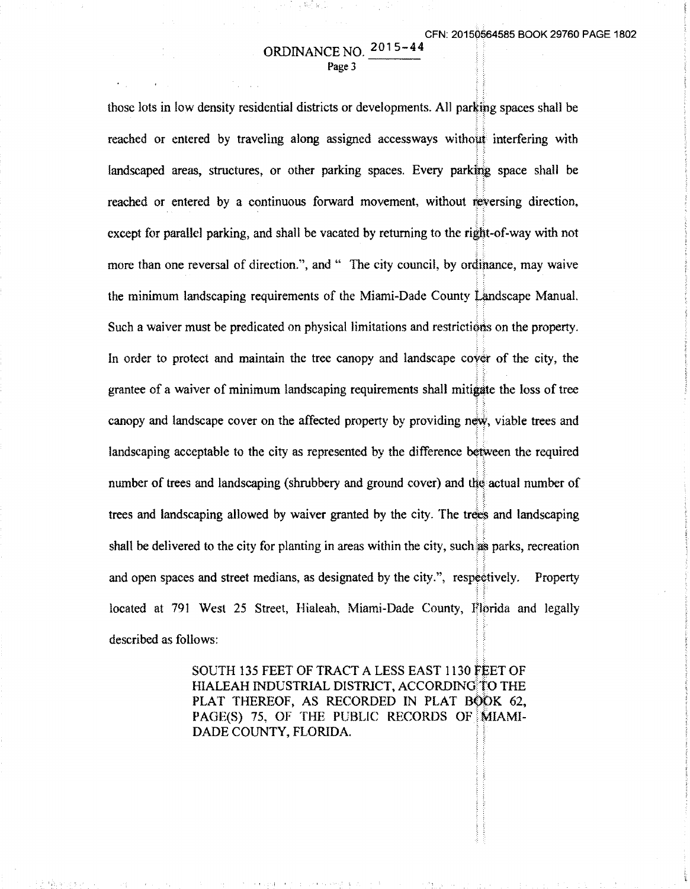# ORDINANCE NO. 201 5- 44 Page 3

**A** 

those lots in low density residential districts or developments. All parking spaces shall be :~ ~: ·:;. reached or entered by traveling along assigned accessways without interfering with landscaped areas, structures, or other parking spaces. Every parking space shall be ~~ ~; reached or entered by a continuous forward movement, without reversing direction.  $;$  : ·:: except for parallel parking, and shall be vacated by returning to the right-of-way with not more than one reversal of direction.", and " The city council, by ordinance, may waive .; : the minimum landscaping requirements of the Miami-Dade County Landscape Manual. Such a waiver must be predicated on physical limitations and restrictions on the property. In order to protect and maintain the tree canopy and landscape cover of the city, the grantee of a waiver of minimum landscaping requirements shall mitigate the loss of tree :i. canopy and landscape cover on the affected property by providing new, viable trees and landscaping acceptable to the city as represented by the difference between the required number of trees and landscaping (shrubbery and ground cover) and the actual number of trees and landscaping allowed by waiver granted by the city. The trees and landscaping :: :: shall be delivered to the city for planting in areas within the city, such as parks, recreation *:;* :: and open spaces and street medians, as designated by the city.", respectively. Property located at 791 West 25 Street, Hialeah, Miami-Dade County, Florida and legally described as follows:

> SOUTH 135 FEET OF TRACT A LESS EAST 1130 FEET OF HIALEAH INDUSTRIAL DISTRICT, ACCORDING TO THE PLAT THEREOF, AS RECORDED IN PLAT BOOK 62, PAGE(S) 75, OF THE PUBLIC RECORDS OF MIAMI-DADE COUNTY, FLORIDA.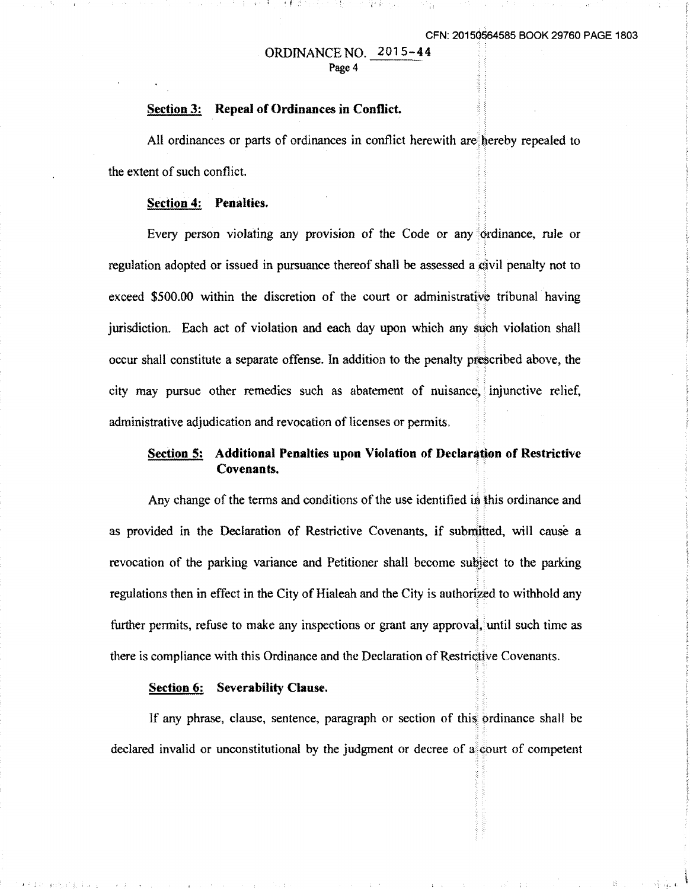## ORDINANCE NO. 2015-44 Page 4

( 邦は N + F + T 구름 가 - 기 : 양성

#### **Section 3: Repeal of Ordinances in Conflict.**

All ordinances or parts of ordinances in conflict herewith are hereby repealed to the extent of such conflict.

#### **Section 4: Penalties.**

Every person violating any provision of the Code or any dividendee, rule or regulation adopted or issued in pursuance thereof shall be assessed a civil penalty not to exceed \$500.00 within the discretion of the court or administrative tribunal having jurisdiction. Each act of violation and each day upon which any such violation shall occur shall constitute a separate offense. In addition to the penalty pre\$cribed above, the ; ·, .; : city may pursue other remedies such as abatement of nuisance. injunctive relief, administrative adjudication and revocation of licenses or permits.

## **Section 5: Additional Penalties upon Violation of Declaration of Restrictive** Covenants.

Any change of the terms and conditions of the use identified in this ordinance and as provided in the Declaration of Restrictive Covenants, if submitted, will cause a ::; revocation of the parking variance and Petitioner shall become subject to the parking regulations then in effect in the City of Hialeah and the City is authorized to withhold any further permits, refuse to make any inspections or grant any approval, until such time as there is compliance with this Ordinance and the Declaration of Restrictive Covenants.

#### **Section 6: Severability Clause.**

If any phrase, clause, sentence, paragraph or section of this ordinance shall be -~ .; declared invalid or unconstitutional by the judgment or decree of  $a^{\dagger}$  court of competent